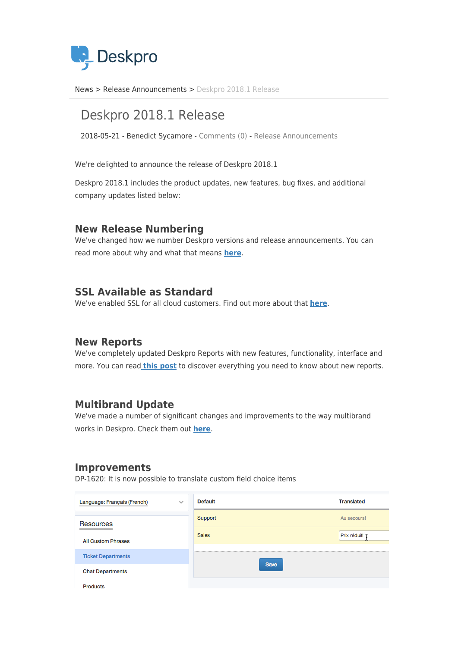

[News](https://support.deskpro.com/ro/news) > [Release Announcements](https://support.deskpro.com/ro/news/release-announcements) > [Deskpro 2018.1 Release](https://support.deskpro.com/ro/news/posts/deskpro-2018-1-release)

# Deskpro 2018.1 Release

2018-05-21 - Benedict Sycamore - [Comments \(0\)](#page--1-0) - [Release Announcements](https://support.deskpro.com/ro/news/release-announcements)

We're delighted to announce the release of Deskpro 2018.1

Deskpro 2018.1 includes the product updates, new features, bug fixes, and additional company updates listed below:

#### **New Release Numbering**

We've changed how we number Deskpro versions and release announcements. You can read more about why and what that means **[here](https://support.deskpro.com/en/news/posts/we-re-changing-how-we-number-deskpro-versions-and-release-announcements)**.

### **SSL Available as Standard**

We've enabled SSL for all cloud customers. Find out more about that **[here](https://support.deskpro.com/en/news/posts/we-re-enabling-ssl-for-all-cloud-customers)**.

#### **New Reports**

We've completely updated Deskpro Reports with new features, functionality, interface and more. You can read **[this post](https://support.deskpro.com/news/posts/712)** to discover everything you need to know about new reports.

#### **Multibrand Update**

We've made a number of significant changes and improvements to the way multibrand works in Deskpro. Check them out **[here](https://support.deskpro.com/news/posts/718)**.

#### **Improvements**

DP-1620: It is now possible to translate custom field choice items

| Language: Français (French)<br>$\sim$ | <b>Default</b> | <b>Translated</b> |
|---------------------------------------|----------------|-------------------|
| <b>Resources</b>                      | Support        | Au secours!       |
| <b>All Custom Phrases</b>             | <b>Sales</b>   | Prix réduit!      |
| <b>Ticket Departments</b>             |                |                   |
| <b>Chat Departments</b>               | <b>Save</b>    |                   |
| Products                              |                |                   |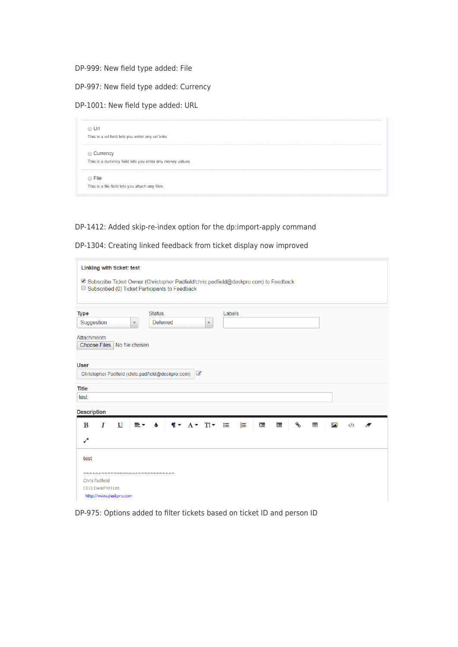DP-999: New field type added: File

DP-997: New field type added: Currency

DP-1001: New field type added: URL

| $\bigcirc$ Url                                            |  |
|-----------------------------------------------------------|--|
| This is a url field lets you enter any url links.         |  |
| ◯ Currency                                                |  |
| This is a currency field lets you enter any money values. |  |
| $\bigcirc$ File                                           |  |
| This is a file field lets you attach any files.           |  |

#### DP-1412: Added skip-re-index option for the dp:import-apply command

DP-1304: Creating linked feedback from ticket display now improved

| Subscribe Ticket Owner (Christopher Padfield/chris.padfield@deskpro.com) to Feedback |  |  |  |  |  |  |  |  |  |
|--------------------------------------------------------------------------------------|--|--|--|--|--|--|--|--|--|
|                                                                                      |  |  |  |  |  |  |  |  |  |
|                                                                                      |  |  |  |  |  |  |  |  |  |
| <b>Attachments</b><br><b>Choose Files</b><br>No file chosen                          |  |  |  |  |  |  |  |  |  |
|                                                                                      |  |  |  |  |  |  |  |  |  |
|                                                                                      |  |  |  |  |  |  |  |  |  |
|                                                                                      |  |  |  |  |  |  |  |  |  |
|                                                                                      |  |  |  |  |  |  |  |  |  |
|                                                                                      |  |  |  |  |  |  |  |  |  |
| ዔ<br>這<br>蛋<br>冊<br>囜<br>$\langle \rangle$<br>A                                      |  |  |  |  |  |  |  |  |  |
|                                                                                      |  |  |  |  |  |  |  |  |  |
|                                                                                      |  |  |  |  |  |  |  |  |  |
|                                                                                      |  |  |  |  |  |  |  |  |  |
|                                                                                      |  |  |  |  |  |  |  |  |  |
| CEO, DeskPRO Ltd.<br>http://www.deskpro.com                                          |  |  |  |  |  |  |  |  |  |
|                                                                                      |  |  |  |  |  |  |  |  |  |

DP-975: Options added to filter tickets based on ticket ID and person ID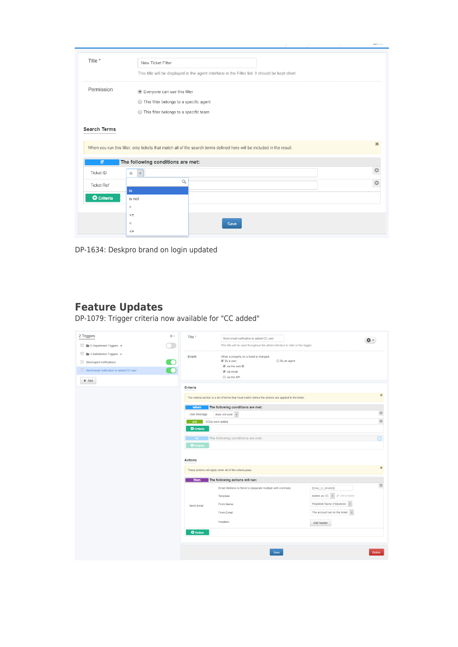|                     |                                                                                                                        |  | $\mathbf{v}$ |  |  |  |
|---------------------|------------------------------------------------------------------------------------------------------------------------|--|--------------|--|--|--|
|                     |                                                                                                                        |  |              |  |  |  |
| Title *             | New Ticket Filter                                                                                                      |  |              |  |  |  |
|                     | This title will be displayed in the agent interface in the Filter list. It should be kept short.                       |  |              |  |  |  |
| Permission          | Everyone can use this filter                                                                                           |  |              |  |  |  |
|                     | ◯ This filter belongs to a specific agent                                                                              |  |              |  |  |  |
|                     | ◯ This filter belongs to a specific team                                                                               |  |              |  |  |  |
|                     |                                                                                                                        |  |              |  |  |  |
|                     |                                                                                                                        |  |              |  |  |  |
| <b>Search Terms</b> |                                                                                                                        |  |              |  |  |  |
|                     |                                                                                                                        |  |              |  |  |  |
|                     |                                                                                                                        |  |              |  |  |  |
|                     | When you run this filter, only tickets that match all of the search terms defined here will be included in the result. |  |              |  |  |  |
| if                  | The following conditions are met:                                                                                      |  |              |  |  |  |
|                     |                                                                                                                        |  | $\odot$      |  |  |  |
| Ticket ID           | is<br>$\mathbf{v}$                                                                                                     |  |              |  |  |  |
| <b>Ticket Ref</b>   | Q                                                                                                                      |  | Ø            |  |  |  |
|                     | is.                                                                                                                    |  |              |  |  |  |
| <b>O</b> Criteria   | is not                                                                                                                 |  |              |  |  |  |
|                     | $\, >$                                                                                                                 |  |              |  |  |  |
|                     | $>$ $=$                                                                                                                |  |              |  |  |  |
|                     | $\,<\,$<br>Save                                                                                                        |  |              |  |  |  |
|                     | $\mathrel{<}=\mathrel{}$                                                                                               |  |              |  |  |  |
|                     |                                                                                                                        |  |              |  |  |  |

DP-1634: Deskpro brand on login updated

## **Feature Updates**

DP-1079: Trigger criteria now available for "CC added"

| 2 Triggers                                        | 春天 | Title *                 | Send email notification to added CC user                                                              |                                              |                  |
|---------------------------------------------------|----|-------------------------|-------------------------------------------------------------------------------------------------------|----------------------------------------------|------------------|
| $\equiv$ <b>b</b> 5 Department Triggers $\star$   |    |                         | This title will be used throughout the admin interface to refer to this trigger.                      |                                              |                  |
| $\equiv$<br>3 Satisfaction Triggers +             |    | Event                   | When a property on a ticket is changed                                                                |                                              |                  |
| $\equiv$ Send agent notifications                 |    |                         | ■ By a user<br>■ via the web 章                                                                        | By an agent                                  |                  |
| $\equiv$ Send email notification to added CC user |    |                         | via email                                                                                             |                                              |                  |
| $+$ Add                                           |    |                         | wia the API                                                                                           |                                              |                  |
|                                                   |    | Criteria                |                                                                                                       |                                              |                  |
|                                                   |    |                         | The criteria section is a list of terms that must match before the actions are applied to the ticket. |                                              | ×                |
|                                                   |    | when                    | The following conditions are met:                                                                     |                                              |                  |
|                                                   |    | User Message            | does not exist $\sqrt{v}$                                                                             |                                              | $\odot$          |
|                                                   |    | CC(s) were added<br>and |                                                                                                       |                                              | $\odot$          |
|                                                   |    | <b>O</b> Criteria       |                                                                                                       |                                              |                  |
|                                                   |    | or.                     | The following conditions are met:                                                                     |                                              | $\bullet$        |
|                                                   |    | <b>O</b> Criteria       |                                                                                                       |                                              |                  |
|                                                   |    | <b>Actions</b>          |                                                                                                       |                                              |                  |
|                                                   |    |                         | These actions will apply when all of the criteria pass.                                               |                                              | ×                |
|                                                   |    | then                    | The following actions will run:                                                                       |                                              |                  |
|                                                   |    |                         | Email Address to Send to (separate multiple with commas):                                             | {{new_cc_emails}}                            | $_{\tiny \odot}$ |
|                                                   |    |                         | Template:                                                                                             | Added as CC v<br>$\mathscr{O}$ edit template |                  |
|                                                   |    | Send Email              | From Name:                                                                                            | Helpdesk Name (Helpdesk) v                   |                  |
|                                                   |    |                         | From Email:                                                                                           | The account set on the ticket                |                  |
|                                                   |    |                         | Headers:                                                                                              | Add header                                   |                  |
|                                                   |    | <b>O</b> Action         |                                                                                                       |                                              |                  |
|                                                   |    |                         |                                                                                                       |                                              |                  |
|                                                   |    |                         | Save                                                                                                  |                                              | Delete           |
|                                                   |    |                         |                                                                                                       |                                              |                  |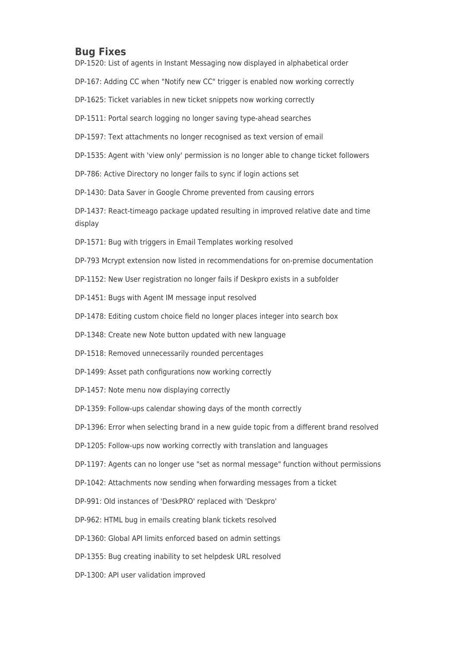#### **Bug Fixes**

DP-1520: List of agents in Instant Messaging now displayed in alphabetical order

DP-167: Adding CC when "Notify new CC" trigger is enabled now working correctly

DP-1625: Ticket variables in new ticket snippets now working correctly

DP-1511: Portal search logging no longer saving type-ahead searches

DP-1597: Text attachments no longer recognised as text version of email

DP-1535: Agent with 'view only' permission is no longer able to change ticket followers

DP-786: Active Directory no longer fails to sync if login actions set

DP-1430: Data Saver in Google Chrome prevented from causing errors

DP-1437: React-timeago package updated resulting in improved relative date and time display

DP-1571: Bug with triggers in Email Templates working resolved

DP-793 Mcrypt extension now listed in recommendations for on-premise documentation

DP-1152: New User registration no longer fails if Deskpro exists in a subfolder

DP-1451: Bugs with Agent IM message input resolved

DP-1478: Editing custom choice field no longer places integer into search box

DP-1348: Create new Note button updated with new language

DP-1518: Removed unnecessarily rounded percentages

DP-1499: Asset path configurations now working correctly

DP-1457: Note menu now displaying correctly

DP-1359: Follow-ups calendar showing days of the month correctly

DP-1396: Error when selecting brand in a new guide topic from a different brand resolved

DP-1205: Follow-ups now working correctly with translation and languages

DP-1197: Agents can no longer use "set as normal message" function without permissions

DP-1042: Attachments now sending when forwarding messages from a ticket

DP-991: Old instances of 'DeskPRO' replaced with 'Deskpro'

DP-962: HTML bug in emails creating blank tickets resolved

DP-1360: Global API limits enforced based on admin settings

DP-1355: Bug creating inability to set helpdesk URL resolved

DP-1300: API user validation improved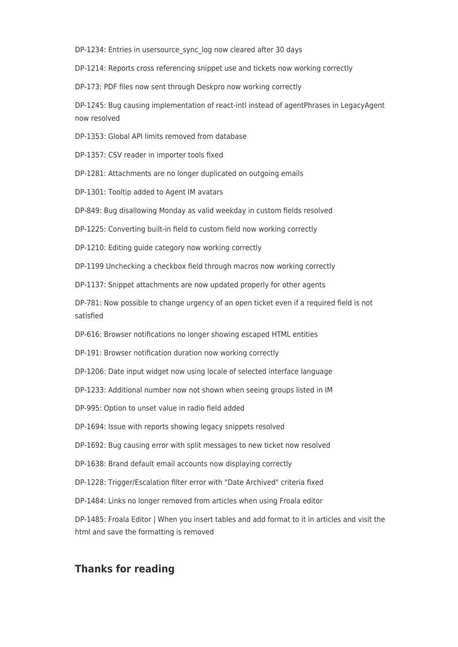DP-1234: Entries in usersource\_sync\_log now cleared after 30 days

DP-1214: Reports cross referencing snippet use and tickets now working correctly

DP-173: PDF files now sent through Deskpro now working correctly

DP-1245: Bug causing implementation of react-intl instead of agentPhrases in LegacyAgent now resolved

DP-1353: Global API limits removed from database

DP-1357: CSV reader in importer tools fixed

DP-1281: Attachments are no longer duplicated on outgoing emails

DP-1301: Tooltip added to Agent IM avatars

DP-849: Bug disallowing Monday as valid weekday in custom fields resolved

DP-1225: Converting built-in field to custom field now working correctly

DP-1210: Editing guide category now working correctly

DP-1199 Unchecking a checkbox field through macros now working correctly

DP-1137: Snippet attachments are now updated properly for other agents

DP-781: Now possible to change urgency of an open ticket even if a required field is not satisfied

DP-616: Browser notifications no longer showing escaped HTML entities

DP-191: Browser notification duration now working correctly

DP-1206: Date input widget now using locale of selected interface language

DP-1233: Additional number now not shown when seeing groups listed in IM

DP-995: Option to unset value in radio field added

DP-1694: Issue with reports showing legacy snippets resolved

DP-1692: Bug causing error with split messages to new ticket now resolved

DP-1638: Brand default email accounts now displaying correctly

DP-1228: Trigger/Escalation filter error with "Date Archived" criteria fixed

DP-1484: Links no longer removed from articles when using Froala editor

DP-1485: Froala Editor | When you insert tables and add format to it in articles and visit the html and save the formatting is removed

#### **Thanks for reading**